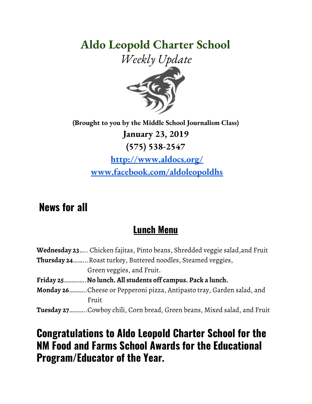# **Aldo Leopold Charter School**





**(Brought to you by the Middle School Journalism Class) January 23, 2019 (575) 538-2547 <http://www.aldocs.org/> [www.facebook.com/aldoleopoldhs](http://www.facebook.com/aldoleopoldhs)**

## **News for all**

#### **Lunch Menu**

| <b>Wednesday 23</b> Chicken fajitas, Pinto beans, Shredded veggie salad,and Fruit |
|-----------------------------------------------------------------------------------|
| <b>Thursday 24</b> Roast turkey, Buttered noodles, Steamed veggies,               |
| Green veggies, and Fruit.                                                         |
| Friday 25No lunch. All students off campus. Pack a lunch.                         |
| Monday 26Cheese or Pepperoni pizza, Antipasto tray, Garden salad, and             |
| Fruit                                                                             |
| <b>Tuesday 27</b> .Cowboy chili, Corn bread, Green beans, Mixed salad, and Fruit  |

### **Congratulations to Aldo Leopold Charter School for the NM Food and Farms School Awards for the Educational Program/Educator of the Year.**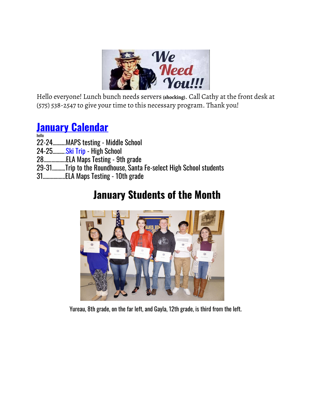

Hello everyone! Lunch bunch needs servers **(shocking)**. Call Cathy at the front desk at (575) 538-2547 to give your time to this necessary program. Thank you!

### **January [Calendar](https://www.aldocs.org/calendar.html)**

hello

- 22-24……….MAPS t[e](https://www.aldocs.org/letters-home--permission-slips.html)sting Middle School
- 24-25………[.](https://www.aldocs.org/letters-home--permission-slips.html)Ski [Trip](https://www.aldocs.org/letters-home--permission-slips.html) High School
- 28…….……….ELA Maps Testing 9th grade
- 29-31……….Trip to the Roundhouse, Santa Fe-select High School students
- 31……………..ELA Maps Testing 10th grade

## **January Students of the Month**



Yureau, 8th grade, on the far left, and Gayla, 12th grade, is third from the left.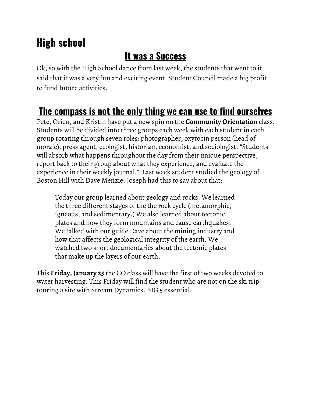# **High school**

### **It was a Success**

Ok, so with the High School dance from last week, the students that went to it, said that it was a very fun and exciting event. Student Council made a big profit to fund future activities.

## **The compass is not the only thing we can use to find ourselves**

Pete, Orien, and Kristin have put a new spin on the **Community Orientation** class. Students will be divided into three groups each week with each student in each group rotating through seven roles: photographer, oxytocin person (head of morale), press agent, ecologist, historian, economist, and sociologist. "Students will absorb what happens throughout the day from their unique perspective, report back to their group about what they experience, and evaluate the experience in their weekly journal." Last week student studied the geology of Boston Hill with Dave Menzie. Joseph had this to say about that:

Today our group learned about geology and rocks. We learned the three different stages of the the rock cycle (metamorphic, igneous, and sedimentary.) We also learned about tectonic plates and how they form mountains and cause earthquakes. We talked with our guide Dave about the mining industry and how that affects the geological integrity of the earth. We watched two short documentaries about the tectonic plates that make up the layers of our earth.

This **Friday, January 25** the CO class will have the first of two weeks devoted to water harvesting. This Friday will find the student who are not on the ski trip touring a site with Stream Dynamics. BIG 5 essential.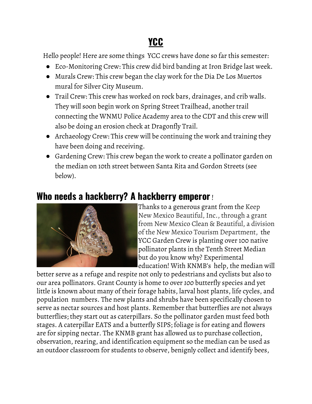# **YCC**

Hello people! Here are some things YCC crews have done so far this semester:

- Eco-Monitoring Crew: This crew did bird banding at Iron Bridge last week.
- Murals Crew: This crew began the clay work for the Dia De Los Muertos mural for Silver City Museum.
- Trail Crew: This crew has worked on rock bars, drainages, and crib walls. They will soon begin work on Spring Street Trailhead, another trail connecting the WNMU Police Academy area to the CDT and this crew will also be doing an erosion check at Dragonfly Trail.
- Archaeology Crew: This crew will be continuing the work and training they have been doing and receiving.
- Gardening Crew: This crew began the work to create a pollinator garden on the median on 10th street between Santa Rita and Gordon Streets (see below).

#### **Who needs a hackberry? A hackberry emperor**!



Thanks to a generous grant from the Keep New Mexico Beautiful, Inc., through a grant from New Mexico Clean & Beautiful, a division of the New Mexico Tourism Department, the YCC Garden Crew is planting over 100 native pollinator plants in the Tenth Street Median but do you know why? Experimental education! With KNMB's help, the median will

better serve as a refuge and respite not only to pedestrians and cyclists but also to our area pollinators. Grant County is home to over *100* butterfly species and yet little is known about many of their forage habits, larval host plants, life cycles, and population numbers. The new plants and shrubs have been specifically chosen to serve as nectar sources and host plants. Remember that butterflies are not always butterflies; they start out as caterpillars. So the pollinator garden must feed both stages. A caterpillar EATS and a butterfly SIPS; foliage is for eating and flowers are for sipping nectar. The KNMB grant has allowed us to purchase collection, observation, rearing, and identification equipment so the median can be used as an outdoor classroom for students to observe, benignly collect and identify bees,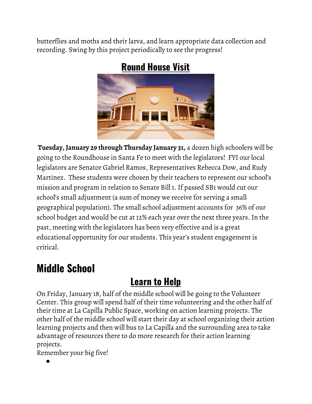butterflies and moths and their larva, and learn appropriate data collection and recording. Swing by this project periodically to see the progress!



#### **Round House Visit**

**Tuesday, January 29 through Thursday January 31,** a dozen high schoolers will be going to the Roundhouse in Santa Fe to meet with the legislators! FYI our local legislators are Senator Gabriel Ramos, Representatives Rebecca Dow, and Rudy Martinez. These students were chosen by their teachers to represent our school's mission and program in relation to Senate Bill 1. If passed SB1 would cut our school's small adjustment (a sum of money we receive for serving a small geographical population). The small school adjustment accounts for 36% of our school budget and would be cut at 12% each year over the next three years. In the past, meeting with the legislators has been very effective and is a great educational opportunity for our students. This year's student engagement is critical.

## **Middle School**

## **Learn to Help**

On Friday, January 18, half of the middle school will be going to the Volunteer Center. This group will spend half of their time volunteering and the other half of their time at La Capilla Public Space, working on action learning projects. The other half of the middle school will start their day at school organizing their action learning projects and then will bus to La Capilla and the surrounding area to take advantage of resources there to do more research for their action learning projects.

Remember your big five!

●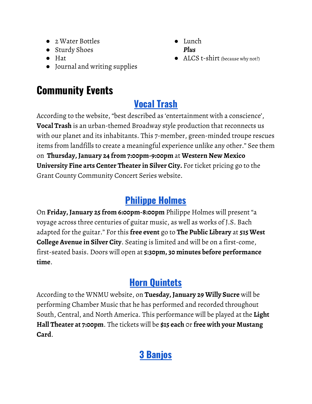- 2 Water Bottles
- Sturdy Shoes
- Hat
- Journal and writing supplies

# **Community Events**

# **[Vocal](http://www.gcconcerts.org/index.php) Trash**

According to the website, "best described as 'entertainment with a conscience', **Vocal Trash** is an urban-themed Broadway style production that reconnects us with our planet and its inhabitants. This 7-member, green-minded troupe rescues items from landfills to create a meaningful experience unlike any other." See them on **Thursday, January 24 from 7:00pm-9:00pm** at **Western New Mexico University Fine arts Center Theater in Silver City.** For ticket pricing go to the Grant County Community Concert Series website.

### **[Philippe](https://silvercitypubliclibrary.org/) Holmes**

On **Friday, January 25 from 6:00pm-8:00pm** Philippe Holmes will present "a voyage across three centuries of guitar music, as well as works of J.S. Bach adapted for the guitar." For this **free event** go to **The Public Library** at **515 West College Avenue in Silver City**. Seating is limited and will be on a first-come, first-seated basis. Doors will open at **5:30pm, 30 minutes before performance time**.

# **Horn [Quintets](https://wnmu.edu/events/13135/)**

According to the WNMU website, on **Tuesday, January 29 Willy Sucre** will be performing Chamber Music that he has performed and recorded throughout South, Central, and North America. This performance will be played at the **Light Hall Theater at 7:00pm**. The tickets will be **\$15 each** 0r **free with your Mustang Card**.

# **3 [Banjos](https://wnmu.edu/events/we-banjo-3/)**

- Lunch *Plus*
- ALCS t-shirt (because why not?)